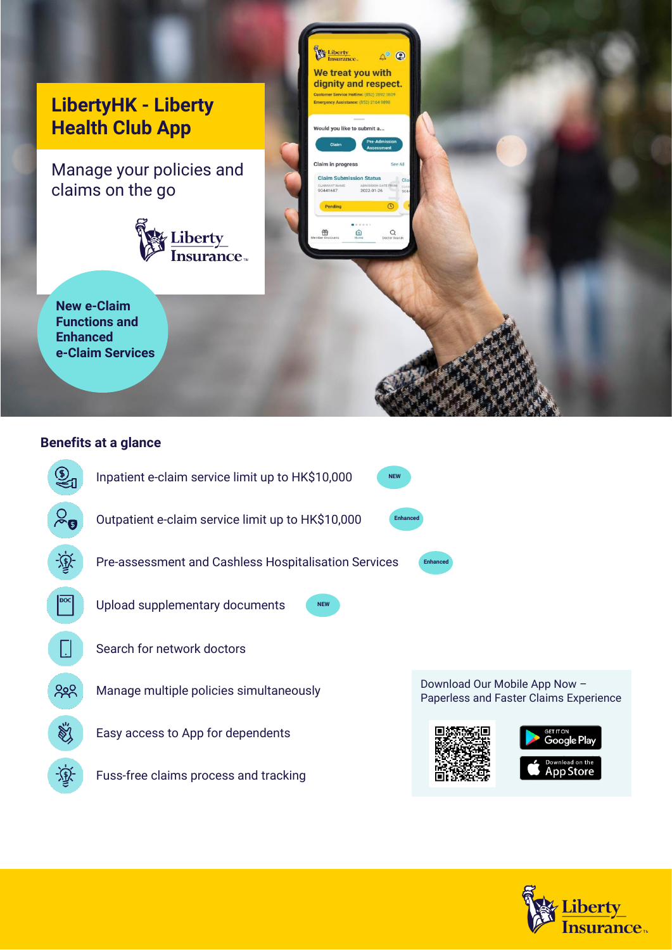

## **Benefits at a glance**